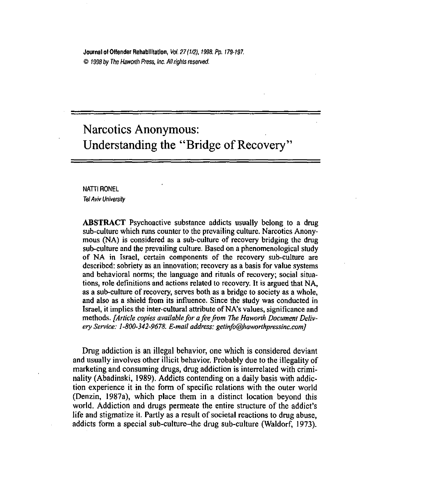**Journal of Olfender Rehabilltallon,** Vol. 27(1/2), 1998. Pp. 179.197.  $© 1998$  by The Haworth Press, Inc. All rights reserved.

# Narcotics Anonymous: Understanding the "Bridge of Recovery"

**NATTl RONEL Tel Aviv Universily** 

ABSTRACT Psychoactive substance addicts usually belong to a drug sub-culture which runs counter to the prevailing culture. Narcotics Anonymous (NA) is considered as a sub-culture of recovery bridging the drug sub-culture and the prevailing culture. Based on a phenomenological study of NA in Israel, certain components of the recovery sub-culture are describcd: sobriety as an innovation; recovery as a basis for value systems and behavioral norms; the language and rituals of recovery; social situations, role definitions and actions related to recovery. It is argued that NA, as a sub-culture of recovery, serves both as a bridge to society as a whole, and also as a shield from its influence. Since the study was conducted in Israel, it implies the inter-cultural attribute of NA's values, significance and methods. *[Article copies available for a fee from The Haworth Document Delivery Service: 1-800-342-9678. E-mail* **oddvess:** *getinfo@aworthpressinc.com]* 

Drug addiction is an illegal behavior, one which is considered deviant and usually involves other illicit behavior. Probably due to the illegality of marketing and consuming drugs, drug addiction is interrelated with criminality (Abadinski, 1989). Addicts contending on a daily basis with addiction experience it in the form of specific relations with the outer world (Denzin, 1987a), which place them in a distinct location beyond this world. Addiction and drugs permeate the entire structure of the addict's life and stigmatize it. Partly as a result of societal reactions to drug abuse, addicts form a special sub-culture-the drug sub-culture (Waldorf, 1973).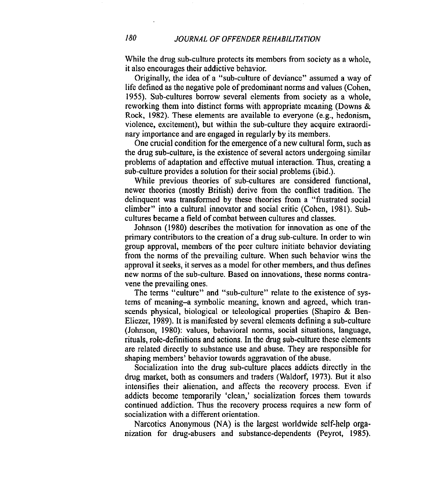While the drug sub-culture protects its members from society as a whole, it also encourages their addictive behavior.

Originally, the idea of a "sub-culture of deviance" assumed a way of life defined as the negative pole of predominant norms and values (Cohen, 1955). Sub-cultures borrow several elements from society as a whole, reworking them into distinct forms with appropriate mcaning (Downs & Rock, 1982). These elements are available to everyone (e.g., hedonism, violence, excitement), but within the sub-culture they acquire extraordinary importance and are engaged in regularly by its members.

One crucial condition for the emergence of a new cultural form, such as the drug sub-culture, is the existence of several actors undergoing similar problems of adaptation and effective mutual interaction. Thus, creating a sub-culture provides a solution for their social problems (ibid.).

While previous theories of sub-cultures are considered functional, ncwer theories (mostly British) derive from the conflict tradition. The dclinqucnt was transformed by these theories from a "frustrated social climber" into a cultural innovator and social critic (Cohen, 1981). Subcultures became a field of combat between cultures and classes.

Johnson (1980) describes the motivation for innovation as one of the primary contributors to the creation of a drug sub-culture. In order to win group approval, members of thc pccr culturc initiatc behavior deviating from the norms of the prevailing culture. When such behavior wins the approval it seeks, it serves as a model for other members, and thus defines new norms of the sub-culture. Based on innovations, these norms contravene the prevailing ones.

The terms "culture" and "sub-culture" relate to the existence of systems of meaning-a symbolic meaning, known and agreed, which transcends physical, biological or teleological properties (Shapiro & Ben-Eliezer, 1989). It is manifested by several elements defining a sub-culture (Johnson, 1980): values, behavioral norms, social situations, language, rituals, role-definitions and actions. In the drug sub-culture these elements are related directly to substance use and abuse. They are responsible for shaping members' behavior towards aggravation of the abuse.

Socialization into the drug sub-culture places addicts dircctly in the drug market, both as consumers and traders (Waldorf, 1973). But it also intensifies their alienation, and affects the recovery process. Even if addicts become temporarily 'clean,' socialization forces them towards continued addiction. Thus the recovery process requires a new form of socialization with a different orientation.

Narcotics Anonymous (NA) is the largest worldwide self-help organization for drug-abusers and substance-dependents (Peyrot, 1985).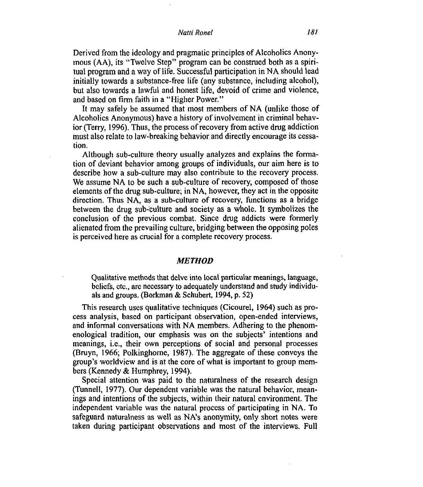#### *Nutti Ronel* **181**

Derived from the ideology and pragmatic principles of Alcoholics Anonymous (AA), its "Twelve Step" program can be construed both as a spiritual program and a way of life. Successful participation in NA should lead initially towards a substance-free life (any substance, including alcohol), but also towards a lawful and honest life, devoid of crime and violence, and based on firm faith in a "Higher Power."

It may safely be assumed that most members of NA (unlike those of Alcoholics Anonymous) have a history of involvement in criminal behavior (Terry, 1996). Thus, the process of recovery from active drug addiction must also relate to law-breaking behavior and directly encourage its cessation.

Although sub-culture theory usually analyzes and explains the formation of deviant behavior among groups of individuals, our aim here is to describe how a sub-culture may also contribute to the recovery process. We assume NA to be such a sub-culture of recovery, composed of those elements of the drug sub-culture; in NA, howcver, they act in the opposite direction. Thus NA, as a sub-culture of recovery, functions as a bridge between the drug sub-culture and society as a whole. It symbolizes the conclusion of the previous combat. Since drug addicts were formerly alienated from the prevailing culture, bridging between the opposing poles is perceived here as crucial for a complete recovery process.

#### *METHOD*

Qualitative methods that delve into local particular meanings, language, beliefs, ctc., are necessary to adequately understand and study individuals and groups. (Borkman & Schubert, 1994, p. 52)

This research uses qualitative techniques (Cicourel, 1964) such as process analysis, bascd on participant observation, open-ended interviews, and informal conversations with NA members. Adhering to the phenomenological tradition, our emphasis was on the subjects' intentions and meanings, i.e., their own perceptions of social and personal processes (Bruyn, 1966; Polkinghome, 1987). The aggregate of these conveys the group's worldview and is at the core of what is important to group members (Kennedy & Humphrey, 1994).

Special attention was paid to the naturalness of the research design (Tunnell, 1977). Our dependent variable was the natural behavior, meanings and intentions of the subjects, within their natural cnvironment. The independent variable was the natural process of participating in NA. To safeguard naturalness as well as NA's anonymity, only short notes were taken during participant observations and most of the interviews. Full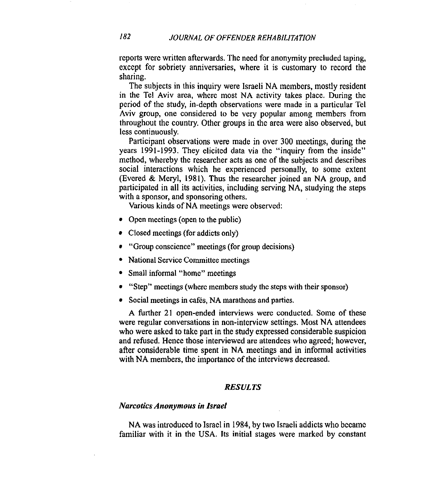reports were written afterwards. The need for anonymity precluded taping, cxccpt for sobriety anniversaries, where it is customary to record the sharing.

The subjects in this inquiry were Israeli NA members, mostly resident in the Tel Aviv area, where most NA activity takes place. During the pcriod of the study, in-depth observations were made in a particular Tel Aviv group, one considered to be very popular among members from throughout the country. Other groups in the area were also observed, but lcss continuously.

Participant observations were made in over 300 meetings, during the years 1991-1993. They elicited data via the "inquiry from the inside" method, whereby the researcher acts as onc of the subjects and describes social interactions which he experienced personally, to some extent (Evered & Meryl, 1981). Thus the researcher joined an NA group, and participated in all its activities, including serving NA, studying the steps with a sponsor, and sponsoring others.

Various kinds of NA meetings were observed:

- $\bullet$  Open meetings (open to the public)
- Closed meetings (for addicts only)
- "Group conscience" meetings (for group decisions)
- National Service Committee meetings
- Small informal "home" meetings
- "Step" meetings (where members study the steps with their sponsor)
- Social meetings in cafés, NA marathons and parties.

A further 21 open-ended interviews were conducted. Some of these were regular conversations in non-intervicw settings. Most NA attendees who were asked to take part in the study expressed considerable suspicion and refused. Hence those interviewed are attendees who agreed; however, after considerable time spent in NA meetings and in informal activities with NA members, the importance of the interviews decreased.

#### *RESULTS*

#### *Narcotics Anonymous in Israel*

NA was introduced to Israel in 1984, by two Israeli addicts who became familiar with it in the USA. Its initial stages were marked by constant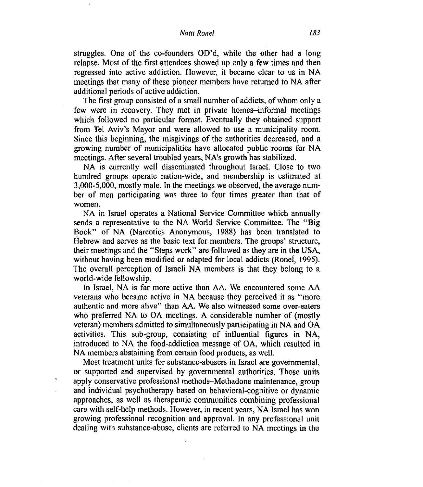struggles. One of the co-founders OD'd, while the other had a long relapse. Most of the first attendees showed up only a few times and then regressed into active addiction. However, it became clear to us in NA meetings that many of these pioneer members have returned to NA after additional periods of active addiction.

The first group consisted of a small number of addicts, of whom only a few were in recovery. They met in private homes-informal meetings which followed no particular format. Eventually they obtained support from Tel Aviv's Mayor and were allowed to use a municipality room. Since this beginning, the misgivings of the authorities decreased, and a growing number of municipalities have allocated public rooms for NA meetings. After several troubled years, NA's growth has stabilized.

NA is currently well disseminated throughout Israel. Close to two hundred groups operate nation-wide, and membership is estimated at 3,000-5,000, mostly male. In the meetings we observed, the average number of men participating was three to four times greater than that of women.

NA in Israel operates a National Service Committee which annually sends a representative to thc NA World Service Committee. The "Big Book" of NA (Narcotics Anonymous, 1988) has been translated to Hebrew and serves as the basic text for members. The groups' structure, their meetings and the "Steps work" are followed as they are in the USA, without having been modified or adapted for local addicts (Ronel, 1995). The overall perception of Israeli NA members is that they belong to a world-wide fellowship.

In Israel, NA is far more active than AA. We encountered some AA veterans who became active in NA because they perceived it as "more authentic and more alive" than **AA.** We also witnessed some over-eaters who preferred NA to OA meetings. A considerable number of (mostly veteran) members admitted to simultaneously participating in NA and OA activities. This sub-group, consisting of influential figures in NA, introduced to NA the food-addiction message of OA, which resulted in NA members abstaining from certain food products, as well.

Most treatment units for substance-abusers in Israel are governmental, or supported and supervised by governmental authorities. Those units apply conservativc professional methods-Methadone maintenance, group and individual psychotherapy based on behavioral-cognitive or dynamic approaches, as well as therapeutic communities combining professional care with self-help methods. However, in recent years, NA Israel has won growing professional recognition and approval. In any professional unit dealing with substance-abuse, clients are referred to NA meetings in the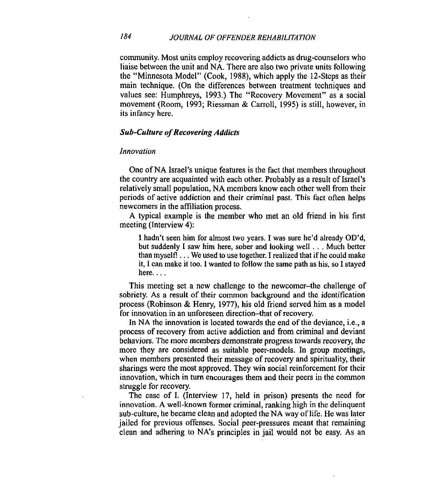# *184 JOURNAL OF OFFENDER REHABILITATION*

community. Most units employ recovcring addicts as drug-counselors who liaise between the unit and NA. Therc are also two private units following the "Minnesota Model" (Cook, 1988), which apply the 12-Steps as their main technique. (On the differences between treatment techniques and values see: Humphreys, 1993.) The "Recovery Movement" as a social movement (Room, 1993; Riessman & Carroll, 1995) is still, however, in its infancy here.

#### *Sub-culture of Recovering Addicts*

#### *Innovation*

One of NA Israel's unique features is the fact that members throughout the country are acquainted with each other. Probably as a result of Israel's relatively small population, NA members know each other well from their periods of active addiction and their criminal past. This fact often helps newcomers in the affiliation process.

A typical example is the member who met an old friend in his first meeting (Interview 4):

I hadn't seen him for almost two years. I was sure he'd already OD'd, but suddenly I saw him here, sober and looking well . . . Much better than myself! . . . We used to use together. I realized that if he could make it, I can make it too. I wanted to follow the same path as his, so I stayed here. . . .

This meeting set a new challenge to the newcomer-the challenge of sobriety. As a result of their common background and the identification process (Robinson & Henry, 1977), his old friend served him as a model for innovation in an unforeseen direction-that of recovery.

In NA the innovation is located towards the end of the deviance, i.e., a process of recovery from active addiction and from criminal and deviant behaviors. The more members demonstrate progress towards recovery, the more they are considered as suitable peer-models. In group meetings, when members presented their message of recovery and spirituality, their sharings were the most approved. They win social reinforcement for their innovation, which in turn encourages them and their peers in the common struggle for recovery.

Thc case of I. (Interview 17, held in prison) presents the need for innovation. A well-known former criminal, ranking high in the delinquent sub-culture, he became clean and adopted the NA way of life. He was latcr jailed for previous offenses. Social peer-pressures meant that remaining clean and adhering to NA's principles in jail would not be easy. As an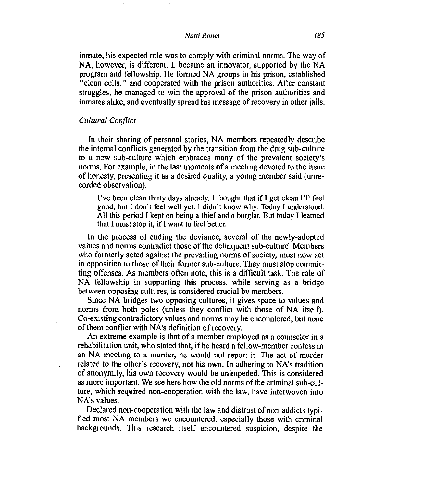#### Natti Ronel

inmate, his expected role was to comply with criminal norms. The way of NA, however, is different: I. became an innovator, supported by the NA program and fellowship. He formed NA groups in his prison, cstablished "clean cells," and cooperated with the prison authorities. After constant struggles, he managed to win the approval of the prison authorities and inmates alike, and eventually spread his message of recovery in other jails.

#### *Cultural Conflict*

In their sharing of personal stories, NA members repeatedly describe the internal conflicts generated by the transition from the drug sub-culture to a new sub-culturc which embraces many of the prevalent society's norms. For example, in the last moments of a meeting devoted to the issue of honesty, presenting it as a desired quality, a young member said (unrecorded observation):

I've been clean thirty days already. I thought that if I get clean I'll feel good, but I don't feel well yet. I didn't know why. Today I understood. All this period I kept on being a thief and a burglar. But today I learned that I must stop it, if I want to feel better.

In the process of ending the deviance, scveral of the newly-adoptcd values and norms contradict thosc of the delinquent sub-culture. Members who formerly acted against the prevailing norms of society, must now act in opposition to those of their former sub-culture. They must stop comrnitting offenses. As members often note, this is a difficult task. The role of NA fellowship in supporting this process, while serving as a bridge between opposing cultures, is considered crucial by members.

Since NA bridges two opposing cultures, it gives space to values and norms from both poles (unless they conflict with those of NA itself). Co-existing contradictory values and norms may be encountered, but none of them conflict with NA's definition of recovery.

**An** extreme example is that of a member employed as a counselor in a rehabilitation unit, who stated that, if he heard a fellow-member confess in an NA meeting to a murder, he would not report it. The act of murder related to the other's recovery, not his own. In adhering to NA's tradition of anonymity, his own recovery would be unimpedcd. This is considered as more important. We see here how the old norms of the criminal sub-culture, which required non-cooperation with the law, have interwoven into NA's values.

Declared non-cooperation with the law and distrust of non-addicts typified most NA members we encountered, especially those with criminal backgrounds. This research itself encountered suspicion, despite the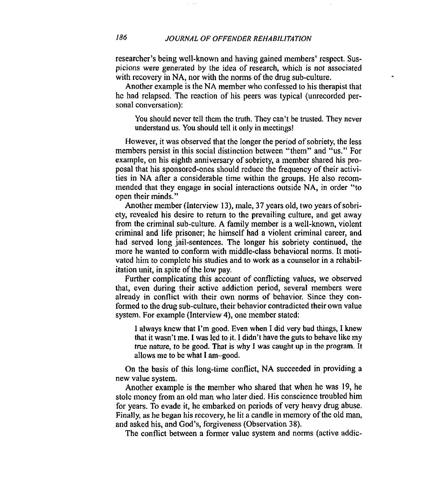researcher's being well-known and having gained members' respect. Suspicions were generated by the idea of research, which is not associated with recovery in NA, nor with the norms of the drug sub-culture.

Another example is the **NA** member who confessed to his therapist that he had relapsed. The reaction of his peers was typical (unrecorded personal conversation):

You should never tell them the truth. They can't be trusted. They never understand us. You should tell it only in meetings!

Howcver, it was observed that the longer the period of sobriety, the less members persist in this social distinction between "them" and "us." For example, on his eighth anniversary of sobriety, a member shared his proposal that his sponsored-ones should reduce the frequency of their activities in **NA** after a considerable time within the groups. He also recommended that they engage in social intcractions outside NA, in order "to open their minds."

Another member (Interview 13), male, **37** years old, two years of sobriety, revealcd his desire to return to the prevailing culture, and get away from the criminal sub-culture. **A** family member is a well-known, violent criminal and life prisoner; hc himself had a violent criminal career, and had served long jail-sentences. The longer his sobriety continued, the more he wanted to conform with middle-class behavioral norms. It motivated him to complete his studies and to work as a counselor in a rehabilitation unit, in spite of the low pay.

Further complicating this account of conflicting values, we observed that, even during their active addiction period, several members were already in conflict with their own norms of behavior. Since they conformed to the drug sub-culture, their behavior contradicted their own value system. For example (Interview 4), one member stated:

I always kncw that I'm good. Even when I did very bad things, I knew that it wasn't me. I was led to it. I didn't have the guts to behave like my true nature, to be good. That is why I was caught **up** in the program. It allows me to be what I am-good.

On the basis of this long-time conflict, **NA** succeeded in providing a new value system.

Another example is the member who shared that when he was 19, he stoic money from an old man who later died. His conscience troubled him for years. To evade it, he embarked on periods of very heavy drug abuse. Finally, as he began his recovery, he lit a candle in memory of the old man, and asked his, and God's, forgiveness (Observation 38).

The conflict between a former value system and norms (active addic-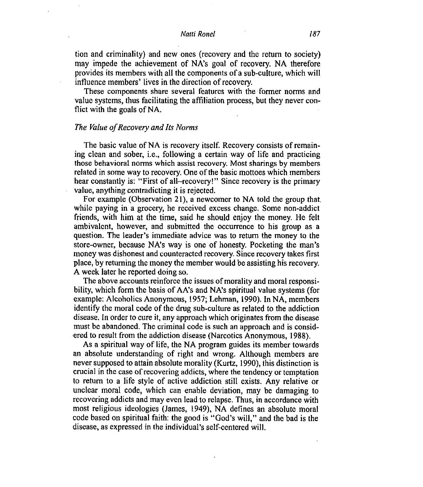#### Natti Ronel

tion and criminality) and new ones (recovery and the return to society) may impede the achievement of NA's goal of recovery. NA therefore provides its members with all the components of a sub-culture, which will influence members' lives in the direction of recovery.

These components share several features with the former norms and value systems, thus facilitating the affiliation process, but they never conflict with the goals of NA.

#### *The Value of Recovery* **and** *Its Norms*

The basic value of NA is recovery itself. Recovery consists of remaining clean and sober, i.e., following a certain way of life and practicing those behavioral norms which assist recovery. Most sharings **by** members related in some way to recovery. One of the basic mottoes which members hear constantly is: "First of all-recovery!" Since recovery is the primary value, anything contradicting it is rejected.

For example (Observation 21), a newcomer to NA told the group that. while paying in a grocery, he received excess change. Some non-addict friends, with him at the time, said he should enjoy the money. He felt ambivalcnt, however, and submitted the occurrence to his group as a question. The leader's immediate advice was to return the money to the store-owner, because NA's way is one of honesty. Pocketing the man's money was dishonest and counteracted recovery. Since recovery takes first place, by returning the money the member would be assisting his recovery. A week later he reported doing so.

The above accounts reinforce the issues of morality and moral responsibility, which form the basis of AA's and NA's spiritual value systems (for example: Alcoholics Anonymous, 1957; Lehman, 1990). In NA, members identify the moral code of the drug sub-culture as related to the addiction disease. In order to cure it, any approach which originates from the disease must be abandoned. The criminal codc is such an approach and is considered to result from the addiction disease (Narcotics Anonymous, 1988).

As a spiritual way of life, the NA program guides its member towards an absolute understanding of right and wrong. Although members are never supposed to attain absolute morality (Kurtz, 1990), this distinction is crucial in the case of recovering addicts, where the tendency or temptation to return to a life style of active addiction still exists. Any relative or unclear moral code, which can enable deviation, may be damaging to recovering addicts and may even lead to relapsc. Thus, in accordance with most religious ideologies (James, 1949), NA defines an absolute moral code based on spiritual faith: the good is "God's will," and the bad is the disease, as expressed in the individual's self-centered will.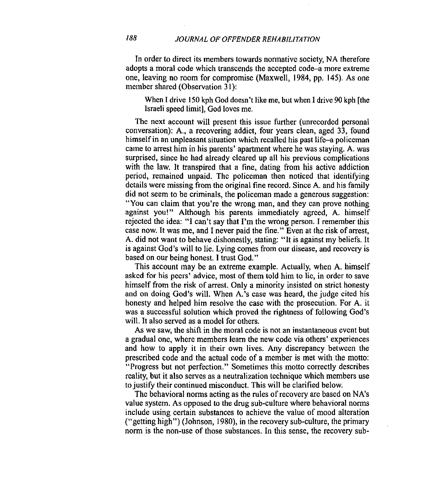In order to direct its members towards normative society, NA therefore adopts a moral code which transcends the accepted code-a more extreme one, leaving no room for compromise (Maxwell, 1984, pp. 145). As one member shared (Observation 31):

When I drive 150 kph God doesn't like me, but when I drive 90 kph [the Israeli speed limit], God loves me.

The next account will present this issue further (unrecorded personal conversation): A,, a recovering addict, four years clean, aged **33,** found himself in an unpleasant situation which recalled his past life-a policeman came to arrest him in his parents' apartment where he was staying. **A.** was surprised, since he had already cleared up all his previous complications with the law. It transpired that a fine, dating from his active addiction period, remained unpaid. The policeman then noticed that identifying details were missing from the original fine record. Since A. and his family did not seem to be criminals, the policeman made a generous suggestion: "You can claim that you're the wrong man, and they can prove nothing against you!" Although his parents immediately agreed, A. himself rejected the idea: "I can't say that I'm the wrong person. I remember this case now. It was me, and I never paid the fine." Even at the risk of arrest, A. did not want to behave dishonestly, stating: "It is against my beliefs. It is against God's will to lie. Lying comes from our disease, and recovcry is based on our being honest. I trust God."

This account may be an extreme example. Actually, when **A.** himself asked for his pecrs' advice, most of them told him to lic, in order to save himself from the risk of arrest. Only a minority insisted on strict honesty and on doing God's will. When A.'s case was heard, the judge cited his honesty and helped him resolve the case with the prosecution. For **A.** it was a successful solution which proved the rightness of following God's will. It also served as a model for others.

As we saw, the shift in the moral code is not an instantaneous event but a gradual one, where members learn the new code via others' experiences and how to apply it in their own lives. Any discrepancy between the prescribed code and the actual code of a member is met with the motto: "Progress but not perfection." Sometimes this motto correctly describes reality, but it also serves as a neutralization technique which members use to justify their continued misconduct. This will be clarified below.

The behavioral norms acting as the rules of recovery are based on NA's value system. As opposed to the drug sub-culture where behavioral norms include using certain substances to achieve the value of mood alteration ("getting high") (Johnson, 1980), in the recovery sub-culture, the primary norm is the non-use of those substances. In this sense, the recovery sub-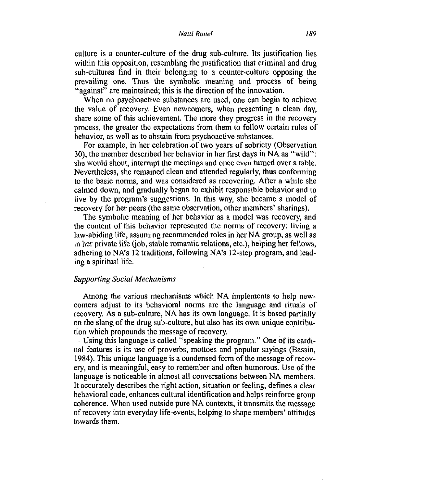culturc is a countcr-culture of the drug sub-culture. Its justification lies within this opposition, resembling the justification that criminal and drug sub-cultures find in their belonging to a counter-culture opposing the prevailing one. Thus the symbolic meaning and proccss of bcing "against" are maintained; this is the direction of the innovation.

When no psychoactive substances are used, one can begin to achieve the value of recovery. Even newcomers, when presenting a clean day, share some of this achievement. The more they progress in the recovery process, the greater thc expectations from them to follow certain rules of behavior, as well as to abstain from psychoactive substances.

For example, in her celcbration of two years of sobriety (Observation **30),** the member described her behavior in her first days in NA as "wild": she would shout, interrupt thc meetings and once even turned over a table. Nevertheless, she remained clean and attended regularly, thus conforming to the basic norms, and was considered as recovering. After a while she calmed down, and gradually began to exhibit responsible behavior and to live by the program's suggestions. In this way, she became a model of recovery for her peers (the same observation, other members' sharings).

Thc symbolic mcaning of her behavior as a model was recovery, and the content of this behavior represented the norms of recovery: living a law-abiding life, assuming recommended roles in her NA group, as well as in her private life Cjob, stable romantic relations, etc.), helping her fellows, adhering to NA's 12 traditions, following NA's 12-step program, and leading a spiritual life.

#### *Supporting Social Mechanisms*

Among the various mechanisms which NA implements to help newcomers adjust to its behavioral norms are the language and rituals of recovery. As a sub-culture, NA has its own language. It is based partially on the slang of the drug sub-culture, but also has its own unique contribution which propounds the message of recovery.

Using this language is called "speaking the program." One of its cardinal features is its use of proverbs, mottoes and popular sayings (Bassin, 1984). This unique language is a condensed form of the message of recovery, and is meaningful, easy to remember and often humorous. Use of the language is noticeable in almost all conversations between NA members. It accurately describes thc right action, situation or feeling, defines a clear behavioral code, enhances cullural identification and helps reinforce group coherence. Whcn used outside pure NA contexts, it transmits the message of recovery into everyday life-events, hclping to shape members' attitudes towards them.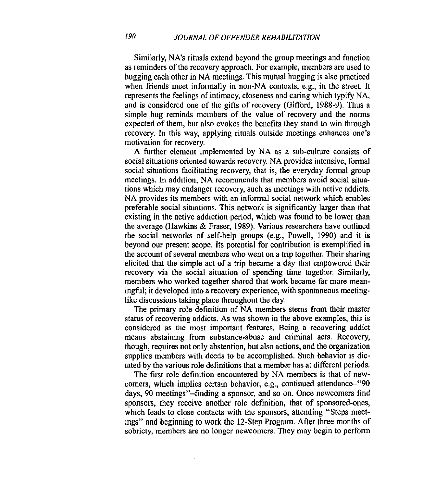Similarly, NA's rituals extend beyond the group meetings and function as reminders of the recovery approach. For example, members are used to hugging each other in NA meetings. This mutual hugging is also practiced when friends meet informally in non-NA contexts, e.g., in the street. It represents the feelings of intimacy, closeness and caring which typify **NA,**  and is considered one of the gifts of recovery (Gifford, 1988-9). Thus a simple hug reminds mcmbers of the value of recovery and the norms expected of them, but also evokes the benefits they stand to win through recovery. In this way, applying rituals outside meetings enhances one's motivalion for recovery.

**A** further element implemented by NA as a sub-culturc consists of social situations oriented towards recovery. NA providcs intensive, formal social situations facilitating recovery, that is, the everyday formal group meetings. In addition, NA recommends that members avoid social situations which may endanger recovery, such as meetings with active addicts. **NA** provides its members with an informal social network which enables preferable social situations. This network is significantly larger than that existing in the active addiction period, which was found to be lower than the average (Hawkins & Fraser, 1989). Various researchers have outlined the social networks of self-help groups (e.g., Powell, 1990) and it is beyond our present scope. Its potcntial for contribution is exemplified in the account of several members who went on a trip together. Their sharing elicited that the simple act of a trip became a day that empowered their recovery via the social situation of spending time together. Similarly, members who worked together sharcd that work became far more meaningful; it developed into a recovery experience, with spontaneous meetinglike discussions taking place throughout the day.

The primary role definition of NA members stems from their master status of recovering addicts. As was shown in the above examples, this is considered as the most important features. Bcing a recovering addict means abstaining from substance-abuse and criminal acts. Recovery, though, requires not only abstention, but also actions, and the organization supplies members with deeds to be accomplished. Such behavior is dictated by the various role definitions that a member has at different periods.

The first role definition encountered by **NA** members is that of newcomers, which implies certain behavior, e.g., continued attendance-"90 days, 90 meetings"-finding a sponsor, and so on. Once newcomers find sponsors, they receive another role definition, that of sponsored-ones, which leads to close contacts with the sponsors, attending "Steps meetings" and beginning to work the 12-Step Program. After three months of sobriety, members are no longer newcomers. They may begin to perfonn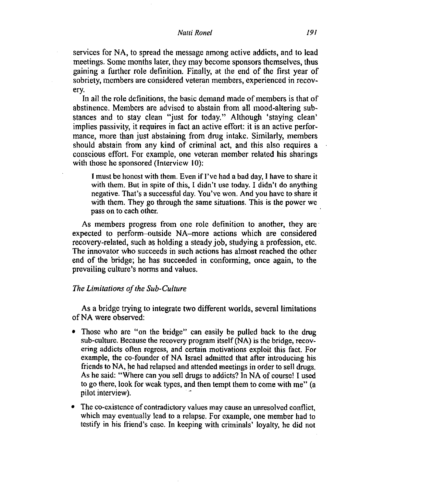services for NA, to spread the message among active addicts, and to lead meetings. Some months later, they may become sponsors themselves, thus gaining a hrther role definition. Finally, at the end of the first year of sobriety, members are considered veteran members, experienced in recovery. In all the role definitions, the basic demand made of membcrs is that of

abstinence. Membcrs are advised to abstain from all mood-altering substances and to stay clean "just for today." Although 'staying clean' implies passivity, it requires in fact an active effort: it is an active performance, more than just abstaining from drug intake. Similarly, members should abstain from any kind of criminal act, and this also requires a conscious effort. For example, one veteran member related his sharings with those he sponsored (Interview 10):

I must be honest with them. Even if I've had a bad day, I have to share it with them. But in spite of this, I didn't use today. I didn't do anything negative. That's a successful day. You've won. And you havc to share it with them. They go through the same situations. This is the power we pass on to cach other.

As members progress from one role definition to another, they are expected to perform-outside NA-more actions which are considered recovery-related, such as holding a steady job, studying a profession, etc. The innovator who succeeds in such actions has almost reached the other end of the bridge; he has succeeded in conforming, once again, to the prevailing culture's norms and values.

### *The Limitations* **of** *the Sub-culture*

As a bridge trying to integrate two different worlds, several limitations of NA were observed:

- Those who are "on the bridge" can easily be pulled back to the drug sub-culture. Because the recovery program itself  $(NA)$  is the bridge, recovering addicts often regress, and certain motivations exploit this fact. For example, the co-founder of NA Israel admitted that after introducing his friends to NA, he had relapsed and attended meetings in order to sell drugs. **As** he said: "Where can you sell drugs to addicts? In NA of course! I used to go there, look for weak types, and then tempt them to come with me" (a pilot interview).
- The co-existence of contradictory values may cause an unresolved conflict, which may eventually lead to a relapse. For example, one member had to testify in his friend's casc. In keeping with criminals' loyalty, he did not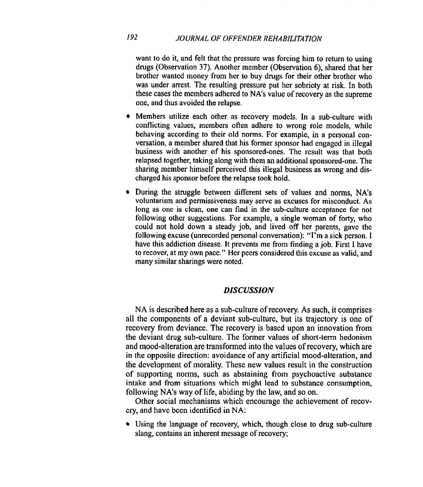#### $192$ *JOURNAL OF OFFENDER REHABILITATION*

want to do it, and felt that the pressure was forcing him to return to using drugs (Observation 37). Another member (Observation 6), shared that her brother wanted money from her to buy drugs for their other brother who was under arrest. The resulting pressure put her sobriety at risk. In both these cases the members adhered to NA's value of recovery as the supreme one, and thus avoided the relapse.

- $\bullet$ Members utilize each other as recovery models. In a sub-culture with conflicting values, mcmbers often adhere to wrong role models, while behaving according to their old norms. For example, in a personal conversation, a member shared that his former sponsor had engaged in illegal business with another of his sponsored-ones. The result was that both relapsed together, taking along with them an additional sponsored-one. The sharing member himself perceived this illegal business as wrong and discharged his sponsor before the relapse took hold.
- During the struggle between different sets of values and norms, NA's voluntarism and permissiveness may serve as excuses for misconduct. As long as one is clean, one can find in the sub-culture acceptance for not following other suggestions. For example, a single woman of forty, who could not hold down a steady job, and lived off her parents, gave the following excuse (unrecorded personal conversation): "I'm a sick person. I have this addiction disease. It prevents me from finding a job. First I have to recover, at my own pace." Her peers considered this excuse as valid, and many similar sharings were noted.

#### *DISCUSSION*

NA is described here as a sub-culture of recovery. As such, it comprises all the components of a deviant sub-culture, but its trajectory is one of recovery from deviance. The recovery is based upon an innovation from the deviant drug sub-culture. The former values of short-term hedonism and mood-alteration are transformed into the values of recovery, which are in the opposite direction: avoidance of any artificial mood-alteration, and the development of morality. These new values result in the construction of supporting norms, such as abstaining from psychoactive substance intake and from situations which might lead to substance consumption, following NA's way of life, abiding by the law, and so on.

Other social mechanisms which encourage the achievement of recovcry, and havc bccn identified in NA:

Using the language of recovery, which, though close to drug sub-culture slang, contains an inherent message of recovery;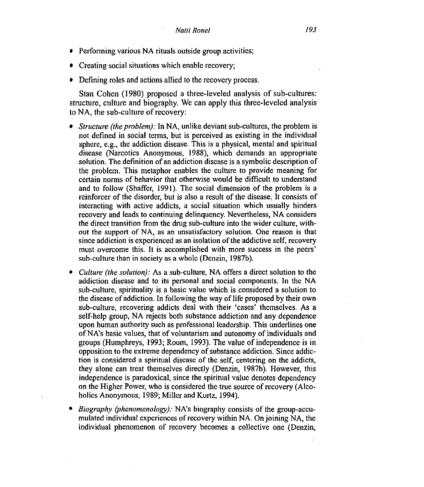- **Performing various NA rituals outside group activities;**
- Creating social situations which enable recovery;
- Defining roles and actions allied to the recovery process.

Stan Cohen (1980) proposed a three-leveled analysis of sub-cultures: structure, culture and biography. We can apply this three-leveled analysis to NA, the sub-culture of recovery:

- *Structure (the problem):* In NA, unlike deviant sub-cultures, the problem is not defined in social terms, but is perceived as existing in the individual sphere, e.g., the addiction disease. This is a physical, mental and spiritual disease (Narcotics Anonymous, 1988), which demands an appropriate solution. The definition of an addiction disease is a symbolic description of the problem. This metaphor enables the culture to provide meaning for certain norms of behavior that otherwise would be difficult to understand and to follow (Shaffer, 1991). The social dimension of the problem is a reinforcer of the disorder, but is also a result of the disease. It consists of interacting with active addicts, a social situation which usually hinders recovery and leads to continuing delinquency. Nevertheless, NA considers the direct transition from the drug sub-culture into the wider culture, without the support of NA, as an unsatisfactory solution. One reason is that since addiction is expcrienced as an isolation of the addictive self, recovery must overcome this. It is accomplished with more success in the peers' sub-culture than in society as a whole (Denzin, 1987b).
- *Culture (the solution):* As a sub-culture, NA offers a direct solution to the addiction disease and to its personal and social components. In thc NA sub-culture, spirituality is a basic value which is considered a solution to the disease of addiction. In following the way of life proposed by their own sub-culture, recovering addicts deal with their 'cases' themselves. As a self-help group, NA rejects both substance addiction and any dependence upon human authority such as professional Icadcrship. This underlines one of NA's basic values, that of voluntarism and autonomy of individuals and groups (Humphreys, 1993; Room, 1993). The value of independence is in opposition to the extreme dependency of substance addiction. Since addiction is considered a spiritual discasc of the self, centering on the addicts, they alone can treat themselves directly (Denzin, 1987b). However, this independence is paradoxical, since the spiritual value denotes dependency on the Higher Power, who is considered the true source of recovery (Alcoholics Anonymous, 1989; Miller and Kurtz, 1994).
- *Biography (phenomenology):* NA's biography consists of the group-accumulated individual expcriences of recovery within NA. On joining NA, the individual phenomenon of recovery becomes a collective one (Denzin,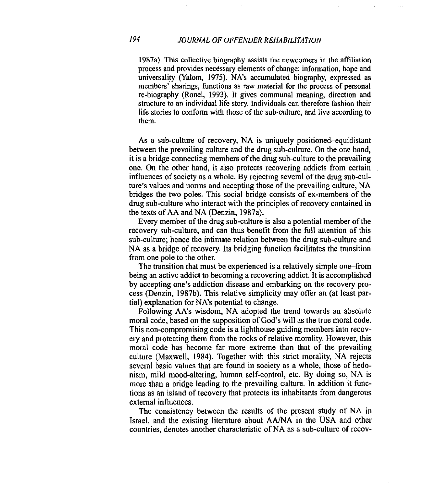# *194 JOURNAL OF OFFENDER REHABILITATION*

1987a). This collective biography assists the newcomers in the affiliation process and provides necessary elemcnts of change: information, hope and universality (Yalom, 1975). NA's accumulated biography, expressed as members' sharings, functions as raw material for the process of personal re-biography (Ronel, 1993). It gives communal meaning, direction and structure to an individual life story. Individuals can therefore fashion their life stories to conform with those of the sub-culture, and live according to them.

As a sub-culture of recovery, NA is uniquely positioned-equidistant between the prevailing culture and the drug sub-culture. On the one hand, it is a bridge connecting members of the drug sub-culture to the prevailing one. On the other hand, it also protects recovering addicts from certain influences of society as a whole. By rejecting several of the drug sub-culture's values and norms and accepting those of the prevailing culture, NA bridges the two poles. This social bridge consists of ex-members of the drug sub-culture who interact with the principles of recovery contained in the texts of **AA** and NA (Denzin, 1987a).

Every member of the drug sub-culture is also a potential member of the recovery sub-culture, and can thus benefit from the full attention of this sub-culture; hence the intimate relation between the drug sub-culture and NA as a bridge of recovery. Its bridging function facilitates the transition from one pole to the other.

The transition that must be experienced is a relatively simple one-from being an active addict to becoming a recovering addict. It is accomplished by accepting one's addiction disease and embarking on the recovery process (Denzin, 1987b). This relative simplicity may offer an (at least partial) explanation for NA's potential to change.

Following AA's wisdom, NA adopted the trend towards an absolute moral code, based on the supposition of God's will as the true moral code. This non-compromising code is a lighthouse guiding members into recovery and protecting them from the rocks of relative morality. However, this moral code has become far more extreme than that of the prevailing culture (Maxwell, 1984). Together with this strict morality, NA rejects several basic values that are found in society as a whole, those of hedonism, mild mood-altering, human self-control, etc. By doing so, NA is more than a bridge leading to the prevailing culture. In addition it functions as an island of recovery that protects its inhabitants from dangerous external influences.

The consistency between the results of the present study of NA in Israel, and the existing literature about ANNA in the USA and other countries, denotes another characteristic of NA as a sub-culture of recov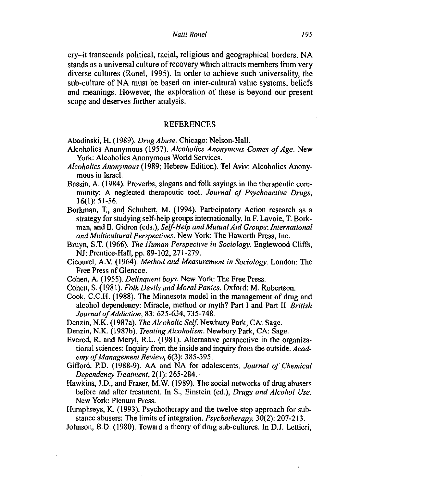*Natti Ronel* **195** 

ery-it transcends political, racial, religious and geographical borders. NA stands as a universal culture of recovery which attracts members from very diverse cultures (Ronel, 1995). In order to achieve such universality, the sub-culture of NA must be based on inter-cultural value systems, beliefs and meanings. However, the exploration of these is beyond our present scope and deserves further analysis.

#### REFERENCES

Abadinski, H. (1989). *Drug Abuse.* Chicago: Nelson-Hall.

- Alcoholics Anonymous (1957). *Alcoholics Anonymous Comes of Age.* New York: Alcoholics Anonymous World Services.
- *Alcoholics Anonymous* (1989; Hebrew Edition). Tel Aviv: Alcoholics Anonymous in Israel.
- Bassin, A. (1984). Proverbs, slogans and folk sayings in the therapeutic community: A neglected therapeutic tool. *Journal of Psychoactive Drugs,*  16(1): 5 1-56,
- Borkman, T., and Schubert, M. (1994). Participatory Action research as a strategy for studying self-help groups internationally. In F. Lavoie, T. Borkman, and B. Gidron (eds.), *Self-Help and Mutual Aid Groups: International and Multicultural Perspectives.* New York: The Haworth Press, Inc.
- Bruyn, S.T. (1966). *The Human Perspective in Sociology.* Englewood Cliffs, *NJ: Prentice-Hall, pp. 89-102, 271-279.*
- Cicourel, A.V. (1964). *Method and Measurement in Sociology.* London: The Free Press of Glencoe.
- Cohen, A. (1955). *Delinquent boys.* New York: The Free Press.
- Cohen, S. (198 1). *Folk Devils and Moral Panics.* Oxford: *M.* Robertson.
- Cook, C.C.H. (1988). The Minnesota model in the management of drug and alcohol dependency: Miracle, method or myth? Part I and Part 11. *British Journal ofAddiction,* 83: 625-634, 735-748.
- Denzin, N.K. (1987a). *The Alcoholic SeIf.* Newbury Park, *CA:* **Sage.**
- Denzin, N.K. (1987b). *Treating Alcoholism.* Newbury Park, CA: Sage.
- Evcred, R. and Meryl, R.L. (1981). Alternative perspective in the organizational sciences: Inquiry from the inside and inquiry from the outside. *Academy ofManagement Review,* 6(3): 385-395.
- Gifford, P.D. (1988-9). **AA** and NA for adolescents. *Journal of Chemical Dependency Treatment,* 2(1): 265-284.
- Hawkins, J.D., and Fraser, M.W. (1989). The social networks of drug abusers before and after treatment. In S., Einstein (ed.), *Drugs and Alcohol Use.*  New York: Plenum Press.
- Humphreys, K. (1993). Psychotherapy and the twelve step approach for substance abusers: The limits of integration. *Psychotherapy,* 30(2): 207-213.
- Johnson, B.D. (1980). Toward a theory of drug sub-cultures. In D.J. Lettieri,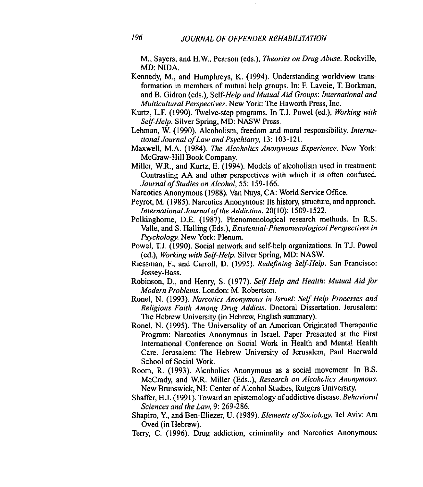M., Sayers, and H.W., Pearson (eds.), *Theories on Drug Abuse.* Rockville, MD: NIDA.

- Kennedy, M., and Humphreys, K. (1994). Understanding worldview transformation in members of mutual help groups. In: **F.** Lavoie, T. Borkman, and B. Gidron (eds.), Self-Help *and Mutual Aid Groups: International and*  **MulticulturalPerspectives.** New York: The Haworth Press, Inc.
- Kurtz, L.F. (1990). Twelve-step programs. In T.J. Powel (ed.), *Working with* Self-Help. Silver Spring, MD: NASW Press.
- Lehman, W. (1990). Alcoholism, freedom and moral responsibility. *Internalional Journal oJLaw and Psychiatry,* 13: 103- 12 l.
- Maxwell, M.A. (1984). *The Alcoholics Anonymous Experience.* New York: McCraw-Hill Book Company.
- Miller, W.R., and Kurtz, E. (1994). Models of alcoholism used in treatment: Contrasting AA and other perspectives with which it is often confused. Journal of Studies on Alcohol, 55: 159-166.
- Narcotics Anonymous (1988). Van Nuys, CA: World Service Office.
- Peyrot, M. (1985). Narcotics Anonymous: Its history, structure, and approach. *International Journal ofthe Addiction,* 20(10): 1509-1522.
- Polkinghorne, D.E. (1987). Phenomenological research methods. In R.S. Valle, and S. Halling (Eds.), *Existential-Phenomenological Perspectives in Psychology.* New York: Plenum.
- Powel, T.J. (1990). Social network and self-help organizations. In T.J. Powel (ed.), *Working with Selj-Help.* Silver Spring, MD: NASW.
- Riessman, F., and Carroll, D. (1995). *Redefining Self-Help*. San Francisco: Jossey-Bass.
- Robinson, D., and Henry, S. (1977). *Self Help and Health: Mutual Aid for Modern Problenu.* London: M. Robertson.
- Ronel, N. (1993). *Narcotics Anonymous in Israel: SelfHelp Processes and Religious Faith Among Drug Addicts.* Doctoral Dissertation. Jerusalem: The Hebrew University (in Hebrcw, English summary).
- Ronel, N. (1995). The Universality of an Amcrican Originated Therapeutic Program: Narcotics Anonymous in Israel. Paper Presented at thc First International Conference on Social Work in Health and Mental Health Care. Jerusalem: The Hebrew University of Jerusalem, Paul Baerwald School of Social Work.
- Room, R. (1993). Alcoholics Anonymous as a social movement. In B.S. McCrady, and W.R. Millcr (Eds..), *Research on Alcoholics Anonymous.*  New Brunswick, NJ: Center of Alcohol Studics, Rutgers University.
- Shaffcr, H.J. (1991). Toward an epistemology of addictive disease. *Behavioral Sciences and the Law,* 9: 269-286.
- Shapiro, Y., and Ben-Eliezer, U. (1989). *Elements oJSociology.* Tel Aviv: Am Oved (in Hebrew).
- Teny, C. (1996). Drug addiction, criminality and Narcotics Anonymous: